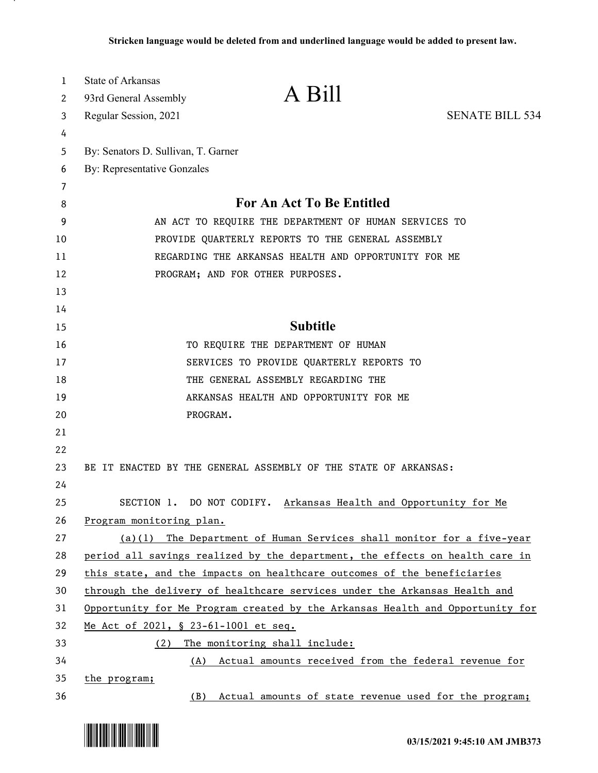| 1  | <b>State of Arkansas</b>                                                      |                                                                              |                        |
|----|-------------------------------------------------------------------------------|------------------------------------------------------------------------------|------------------------|
| 2  | 93rd General Assembly                                                         | A Bill                                                                       |                        |
| 3  | Regular Session, 2021                                                         |                                                                              | <b>SENATE BILL 534</b> |
| 4  |                                                                               |                                                                              |                        |
| 5  | By: Senators D. Sullivan, T. Garner                                           |                                                                              |                        |
| 6  | By: Representative Gonzales                                                   |                                                                              |                        |
| 7  |                                                                               |                                                                              |                        |
| 8  | <b>For An Act To Be Entitled</b>                                              |                                                                              |                        |
| 9  | AN ACT TO REQUIRE THE DEPARTMENT OF HUMAN SERVICES TO                         |                                                                              |                        |
| 10 | PROVIDE QUARTERLY REPORTS TO THE GENERAL ASSEMBLY                             |                                                                              |                        |
| 11 | REGARDING THE ARKANSAS HEALTH AND OPPORTUNITY FOR ME                          |                                                                              |                        |
| 12 |                                                                               | PROGRAM; AND FOR OTHER PURPOSES.                                             |                        |
| 13 |                                                                               |                                                                              |                        |
| 14 |                                                                               |                                                                              |                        |
| 15 |                                                                               | <b>Subtitle</b>                                                              |                        |
| 16 |                                                                               | TO REQUIRE THE DEPARTMENT OF HUMAN                                           |                        |
| 17 |                                                                               | SERVICES TO PROVIDE QUARTERLY REPORTS TO                                     |                        |
| 18 |                                                                               | THE GENERAL ASSEMBLY REGARDING THE                                           |                        |
| 19 |                                                                               | ARKANSAS HEALTH AND OPPORTUNITY FOR ME                                       |                        |
| 20 | PROGRAM.                                                                      |                                                                              |                        |
| 21 |                                                                               |                                                                              |                        |
| 22 |                                                                               |                                                                              |                        |
| 23 |                                                                               | BE IT ENACTED BY THE GENERAL ASSEMBLY OF THE STATE OF ARKANSAS:              |                        |
| 24 |                                                                               |                                                                              |                        |
| 25 |                                                                               | SECTION 1. DO NOT CODIFY. Arkansas Health and Opportunity for Me             |                        |
| 26 | Program monitoring plan.                                                      |                                                                              |                        |
| 27 |                                                                               | $(a)(1)$ The Department of Human Services shall monitor for a five-year      |                        |
| 28 |                                                                               | period all savings realized by the department, the effects on health care in |                        |
| 29 |                                                                               | this state, and the impacts on healthcare outcomes of the beneficiaries      |                        |
| 30 | through the delivery of healthcare services under the Arkansas Health and     |                                                                              |                        |
| 31 | Opportunity for Me Program created by the Arkansas Health and Opportunity for |                                                                              |                        |
| 32 | Me Act of 2021, § 23-61-1001 et seq.                                          |                                                                              |                        |
| 33 | (2)                                                                           | The monitoring shall include:                                                |                        |
| 34 |                                                                               | (A) Actual amounts received from the federal revenue for                     |                        |
| 35 | <u>the program;</u>                                                           |                                                                              |                        |
| 36 | (B)                                                                           | Actual amounts of state revenue used for the program;                        |                        |